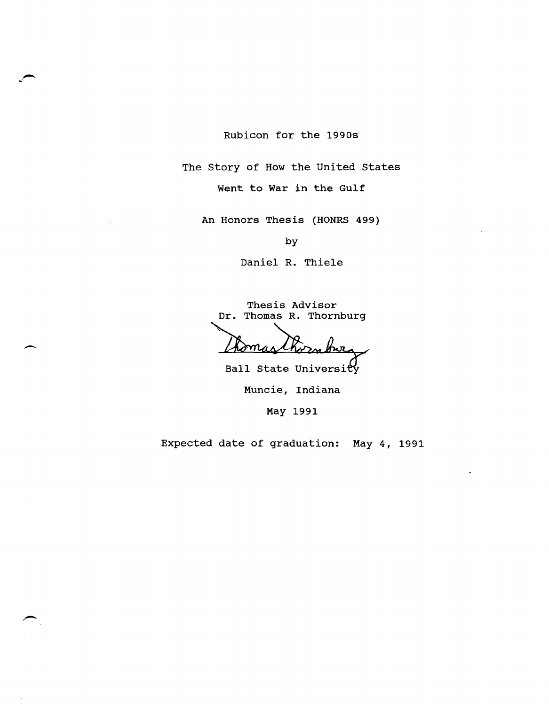Rubicon for the 1990s

The story of How the United states

Went to War in the Gulf

An Honors Thesis (HONRS 499)

by

Daniel R. Thiele

Thesis Advisor Dr. Thomas R. Thornburg

*Momas Chornburg*<br>Ball state University

Muncie, Indiana

May 1991

Expected date of graduation: May 4, 1991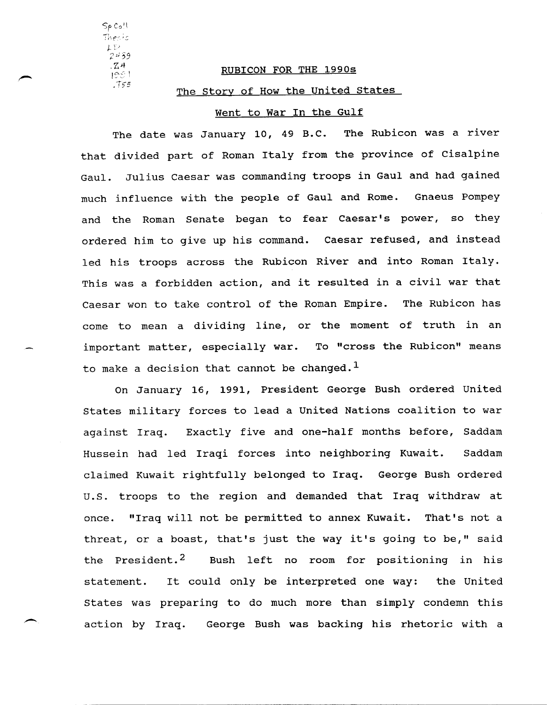Sf Co'l Thesis  $1 - Y$ 2,159  $.74$  $195!$ *,-T,s* 

## RUBICON FOR THE 1990s

## The Story of How the United States

# went to War In the Gulf

The date was January 10, 49 B.C. The Rubicon was a river that divided part of Roman Italy from the province of Cisalpine Gaul. Julius Caesar was commanding troops in Gaul and had gained much influence with the people of Gaul and Rome. Gnaeus Pompey and the Roman Senate began to fear Caesar's power, so they ordered him to give up his command. Caesar refused, and instead led his troops across the Rubicon River and into Roman Italy. This was a forbidden action, and it resulted in a civil war that Caesar won to take control of the Roman Empire. The Rubicon has come to mean a dividing line, or the moment of truth in an important matter, especially war. To "cross the Rubicon" means to make a decision that cannot be changed.<sup>1</sup>

On January 16, 1991, President George Bush ordered united states military forces to lead a united Nations coalition to war against Iraq. Exactly five and one-half months before, Saddam Hussein had led Iraqi forces into neighboring Kuwait. Saddam claimed Kuwait rightfully belonged to Iraq. George Bush ordered U.S. troops to the region and demanded that Iraq withdraw at once. "Iraq will not be permitted to annex Kuwait. That's not a threat, or a boast, that's just the way it's going to be," said the President.<sup>2</sup> Bush left no room for positioning in his statement. It could only be interpreted one way: the United states was preparing to do much more than simply condemn this action by Iraq. George Bush was backing his rhetoric with a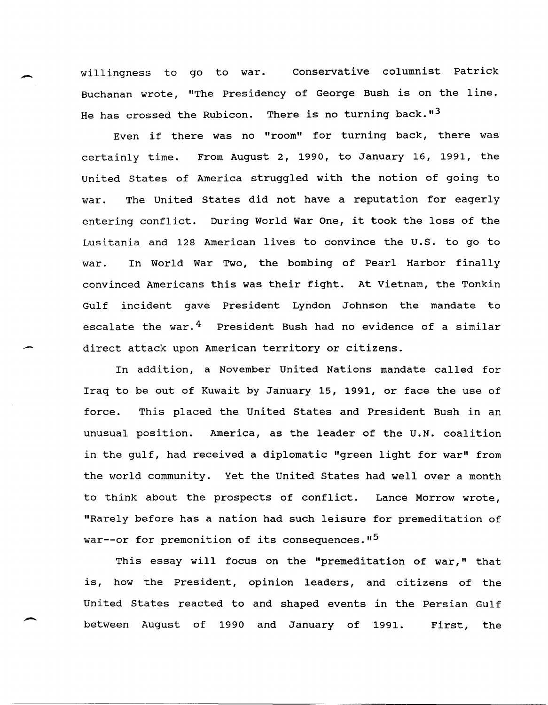willingness to go to war. Conservative columnist Patrick Buchanan wrote, "The Presidency of George Bush is on the line. He has crossed the Rubicon. There is no turning back.  $13$ 

Even if there was no "room" for turning back, there was certainly time. From August 2, 1990, to January 16, 1991, the united states of America struggled with the notion of going to war. The United states did not have a reputation for eagerly entering conflict. During World War One, it took the loss of the Lusitania and 128 American lives to convince the u.s. to go to war. In World War Two, the bombing of Pearl Harbor finally convinced Americans this was their fight. At Vietnam, the Tonkin Gulf incident gave President Lyndon Johnson the mandate to escalate the war.<sup>4</sup> President Bush had no evidence of a similar direct attack upon American territory or citizens.

In addition, a November united Nations mandate called for Iraq to be out of Kuwait by January 15, 1991, or face the use of force. This placed the united states and President Bush in an unusual position. America, as the leader of the U.N. coalition in the gulf, had received a diplomatic "green light for war" from the world community. Yet the united states had well over a month to think about the prospects of conflict. Lance Morrow wrote, "Rarely before has a nation had such leisure for premeditation of war--or for premonition of its consequences."<sup>5</sup>

This essay will focus on the "premeditation of war," that is, how the President, opinion leaders, and citizens of the united states reacted to and shaped events in the Persian Gulf between August of 1990 and January of 1991. First, the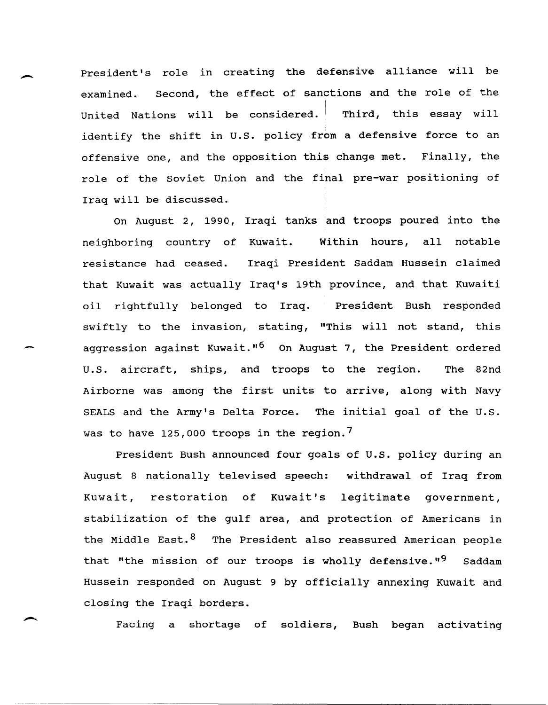President's role in creating the defensive alliance will be examined. Second, the effect of sanctions and the role of the United Nations will be considered. Third, this essay will identify the shift in U.S. policy from a defensive force to an offensive one, and the opposition this change met. Finally, the role of the soviet union and the final pre-war positioning of Iraq will be discussed.

 $\overline{\phantom{a}}$ 

.-

On August 2, 1990, Iraqi tanks and troops poured into the neighboring country of Kuwait. Within hours, all notable resistance had ceased. Iraqi President Saddam Hussein claimed that Kuwait was actually Iraq's 19th province, and that Kuwaiti oil rightfully belonged to Iraq. President Bush responded swiftly to the invasion, stating, "This will not stand, this aggression against Kuwait."<sup>6</sup> On August 7, the President ordered u.S. aircraft, ships, and troops to the region. The 82nd Airborne was among the first units to arrive, along with Navy SEALS and the Army's Delta Force. The initial goal of the U.S. was to have 125,000 troops in the region.<sup>7</sup>

President Bush announced four goals of u.S. policy during an August 8 nationally televised speech: withdrawal of Iraq from Kuwait, restoration of Kuwait's legitimate government, stabilization of the gulf area, and protection of Americans in the Middle East.<sup>8</sup> The President also reassured American people that "the mission of our troops is wholly defensive."<sup>9</sup> Saddam Hussein responded on August 9 by officially annexing Kuwait and closing the Iraqi borders.

Facing a shortage of soldiers, Bush began activating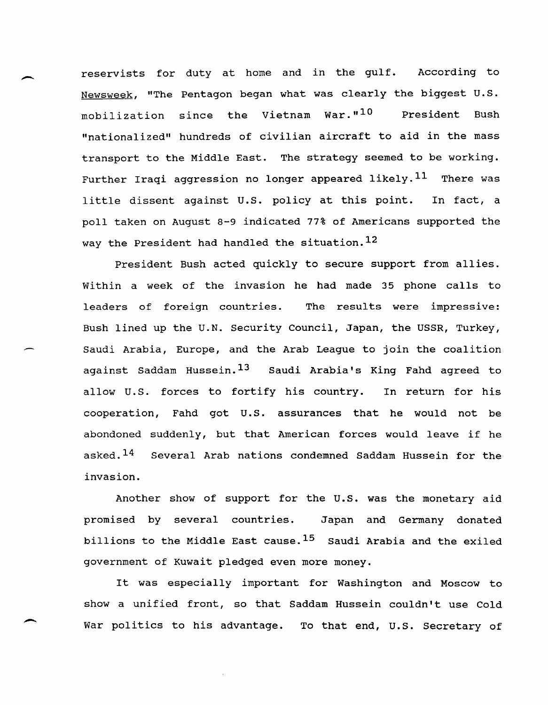reservists for duty at home and in the gulf. According to Newsweek, "The Pentagon began what was clearly the biggest U. S. mobilization since the Vietnam War."10 President Bush "nationalized" hundreds of civilian aircraft to aid in the mass transport to the Middle East. The strategy seemed to be working. Further Iraqi aggression no longer appeared likely. $^{11}$  There was little dissent against u.s. policy at this point. In fact, a poll taken on August 8-9 indicated 77% of Americans supported the way the President had handled the situation.<sup>12</sup>

 $\overline{\phantom{a}}$ 

-

President Bush acted quickly to secure support from allies. within a week of the invasion he had made 35 phone calls to leaders of foreign countries. The results were impressive: Bush lined up the U.N. Security Council, Japan, the USSR, Turkey, Saudi Arabia, Europe, and the Arab League to join the coalition against Saddam Hussein.<sup>13</sup> Saudi Arabia's King Fahd agreed to allow U.S. forces to fortify his country. In return for his cooperation, Fahd got U.S. assurances that he would not be abondoned suddenly, but that American forces would leave if he asked.<sup>14</sup> Several Arab nations condemned Saddam Hussein for the invasion.

Another show of support for the U.S. was the monetary aid promised by several countries. Japan and Germany donated billions to the Middle East cause.  $15$  Saudi Arabia and the exiled government of Kuwait pledged even more money.

It was especially important for Washington and Moscow to show a unified front, so that Saddam Hussein couldn't use Cold War politics to his advantage. To that end, U.S. Secretary of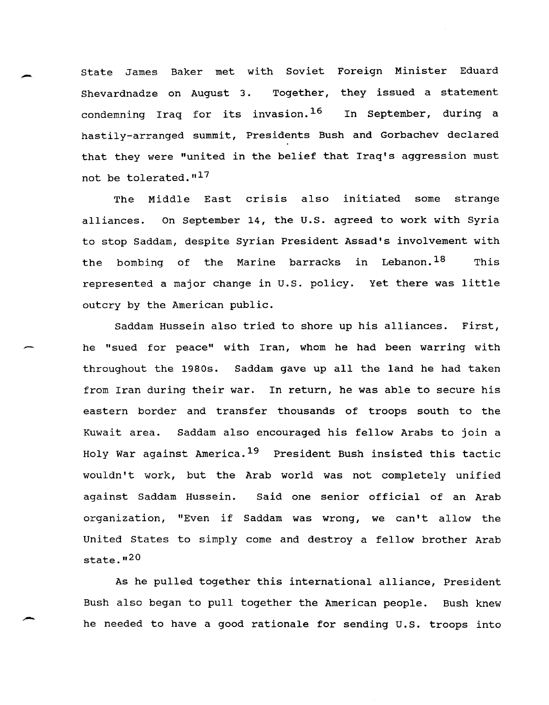state James Baker met with Soviet Foreign Minister Eduard Shevardnadze on August 3. Together, they issued a statement condemning Iraq for its invasion.<sup>16</sup> In September, during a hastily-arranged summit, Presidents Bush and Gorbachev declared that they were "united in the belief that Iraq's aggression must not be tolerated."17

-

-

The Middle East crisis also initiated some strange alliances. On September 14, the u.S. agreed to work with Syria to stop Saddam, despite Syrian President Assad's involvement with the bombing of the Marine barracks in Lebanon.<sup>18</sup> This represented a major change in U.S. policy. Yet there was little outcry by the American public.

Saddam Hussein also tried to shore up his alliances. First, he "sued for peace" with Iran, whom he had been warring with throughout the 1980s. Saddam gave up all the land he had taken from Iran during their war. In return, he was able to secure his eastern border and transfer thousands of troops south to the Kuwait area. Saddam also encouraged his fellow Arabs to join a Holy War against America. 19 President Bush insisted this tactic wouldn't work, but the Arab world was not completely unified against Saddam Hussein. Said one senior official of an Arab organization, "Even if Saddam was wrong, we can't allow the United States to simply come and destroy a fellow brother Arab state. $n20$ 

As he pulled together this international alliance, President Bush also began to pull together the American people. Bush knew he needed to have a good rationale for sending u.s. troops into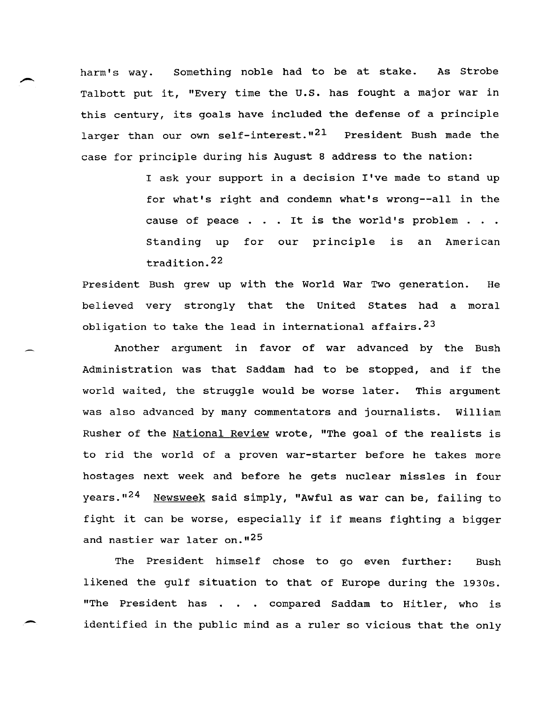harm's way. Something noble had to be at stake. As Strobe Talbott put it, "Every time the U.S. has fought a major war in this century, its goals have included the defense of a principle larger than our own self-interest."<sup>21</sup> President Bush made the case for principle during his August 8 address to the nation:

> I ask your support in a decision I've made to stand up for what's right and condemn what's wrong--all in the cause of peace . . . It is the world's problem . . . standing up for our principle is an American tradition. 22

President Bush grew up with the World War Two generation. He believed very strongly that the United states had a moral obligation to take the lead in international affairs.<sup>23</sup>

Another argument in favor of war advanced by the Bush Administration was that Saddam had to be stopped, and if the world waited, the struggle would be worse later. This argument was also advanced by many commentators and journalists. William Rusher of the National Review wrote, "The goal of the realists is to rid the world of a proven war-starter before he takes more hostages next week and before he gets nuclear missles in four years."<sup>24</sup> Newsweek said simply, "Awful as war can be, failing to fight it can be worse, especially if if means fighting a bigger and nastier war later on."<sup>25</sup>

The President himself chose to go even further: Bush likened the gulf situation to that of Europe during the 1930s. "The President has . . . compared Saddam to Hitler, who is identified in the public mind as a ruler so vicious that the only

--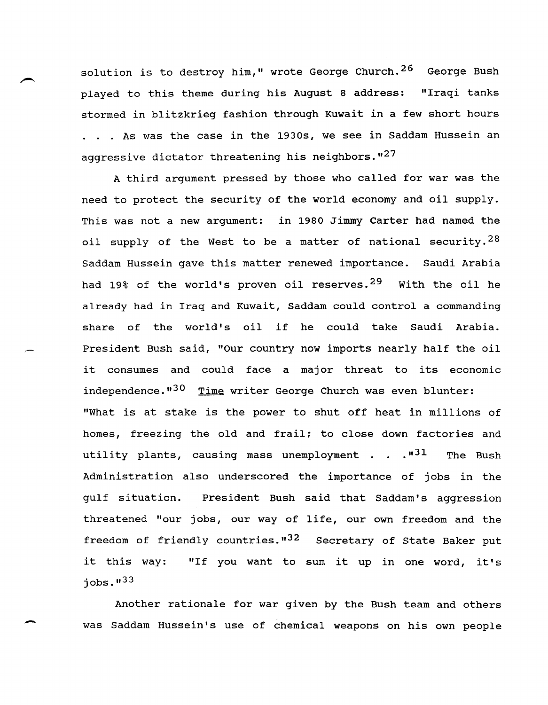solution is to destroy him," wrote George Church.<sup>26</sup> George Bush played to this theme during his August 8 address: "Iraqi tanks stormed in blitzkrieg fashion through Kuwait in a few short hours . . . As was the case in the 1930s, we see in Saddam Hussein an aggressive dictator threatening his neighbors.  $127$ 

A third argument pressed by those who called for war was the need to protect the security of the world economy and oil supply. This was not a new argument: in 1980 Jimmy Carter had named the oil supply of the West to be a matter of national security.<sup>28</sup> Saddam Hussein gave this matter renewed importance. Saudi Arabia had 19% of the world's proven oil reserves.<sup>29</sup> With the oil he already had in Iraq and Kuwait, Saddam could control a commanding share of the world's oil if he could take Saudi Arabia. President Bush said, "Our country now imports nearly half the oil it consumes and could face a major threat to its economic independence."<sup>30</sup> Time writer George Church was even blunter: "What is at stake is the power to shut off heat in millions of homes, freezing the old and frail; to close down factories and utility plants, causing mass unemployment . . . "<sup>31</sup> The Bush Administration also underscored the importance of jobs in the qulf situation. President Bush said that Saddam's aggression threatened "our jobs, our way of life, our own freedom and the freedom of friendly countries."<sup>32</sup> Secretary of State Baker put it this way: "If you want to sum it up in one word, it's  $j$ obs. $133$ 

Another rationale for war given by the Bush team and others was Saddam Hussein's use of chemical weapons on his own people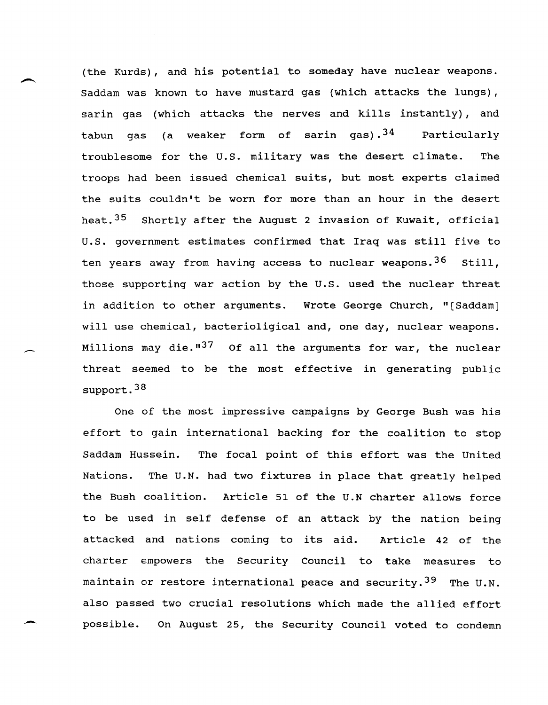(the Kurds), and his potential to someday have nuclear weapons. Saddam was known to have mustard gas (which attacks the lungs), sarin gas (which attacks the nerves and kills instantly), and tabun gas (a weaker form of sarin gas).<sup>34</sup> Particularly troublesome for the U.S. military was the desert climate. The troops had been issued chemical suits, but most experts claimed the suits couldn't be worn for more than an hour in the desert heat.<sup>35</sup> Shortly after the August 2 invasion of Kuwait, official u.S. government estimates confirmed that Iraq was still five to ten years away from having access to nuclear weapons.<sup>36</sup> Still, those supporting war action by the u.s. used the nuclear threat in addition to other arguments. Wrote George Church, "[Saddam] will use chemical, bacterioligical and, one day, nuclear weapons. Millions may die. $137$  Of all the arguments for war, the nuclear threat seemed to be the most effective in generating public support.<sup>38</sup>

-

--

One of the most impressive campaigns by George Bush was his effort to gain international backing for the coalition to stop Saddam Hussein. The focal point of this effort was the united Nations. The U.N. had two fixtures in place that greatly helped the Bush coalition. Article 51 of the U.N charter allows force to be used in self defense of an attack by the nation being attacked and nations coming to its aid. Article 42 of the charter empowers the Security Council to take measures to maintain or restore international peace and security.<sup>39</sup> The U.N. also passed two crucial resolutions which made the allied effort possible. On August 25, the Security Council voted to condemn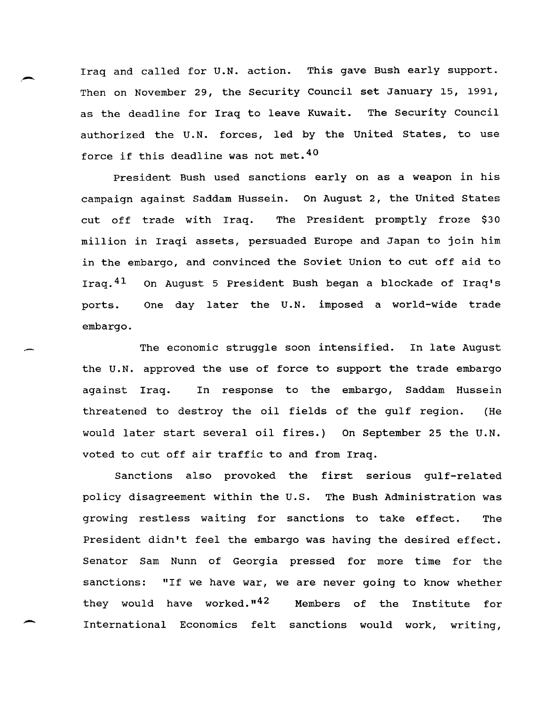Iraq and called for U.N. action. This gave Bush early support. Then on November 29, the security Council set January 15, 1991, as the deadline for Iraq to leave Kuwait. The Security Council authorized the U.N. forces, led by the united States, to use force if this deadline was not met. <sup>40</sup>

President Bush used sanctions early on as a weapon in his campaign against Saddam Hussein. On August 2, the united States cut off trade with Iraq. The President promptly froze \$30 million in Iraqi assets, persuaded Europe and Japan to join him in the embargo, and convinced the Soviet Union to cut off aid to Iraq.41 On August 5 President Bush began a blockade of Iraq's ports. One day later the U. N. imposed a world-wide trade embargo.

The economic struggle soon intensified. In late August the U.N. approved the use of force to support the trade embargo against Iraq. In response to the embargo, Saddam Hussein threatened to destroy the oil fields of the gulf region. (He would later start several oil fires.) On September 25 the U.N. voted to cut off air traffic to and from Iraq.

Sanctions also provoked the first serious gulf-related policy disagreement within the U.S. The Bush Administration was growing restless waiting for sanctions to take effect. The President didn't feel the embargo was having the desired effect. Senator Sam Nunn of Georgia pressed for more time for the sanctions: "If we have war, we are never going to know whether they would have worked."<sup>42</sup> Members of the Institute for International Economics felt sanctions would work, writing,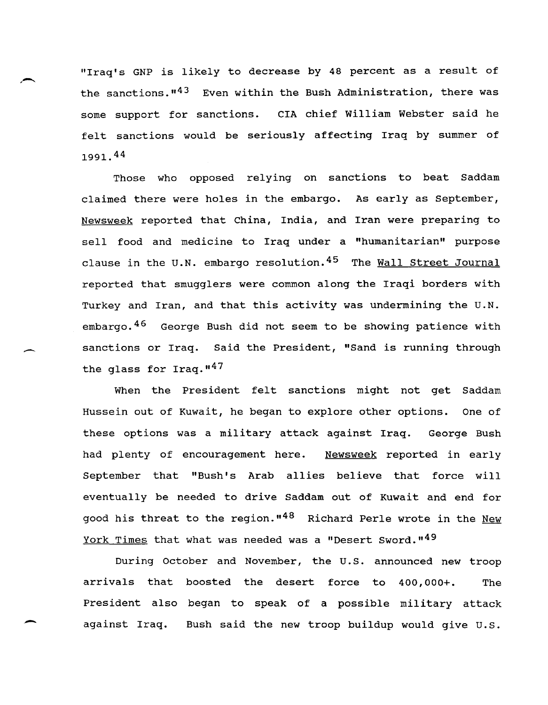"Iraq's GNP is likely to decrease by 48 percent as a result of the sanctions.<sup>143</sup> Even within the Bush Administration, there was some support for sanctions. CIA chief William Webster said he felt sanctions would be seriously affecting Iraq by summer of 1991. 44

Those who opposed relying on sanctions to beat Saddam claimed there were holes in the embargo. As early as september, Newsweek reported that China, India, and Iran were preparing to sell food and medicine to Iraq under a "humanitarian" purpose clause in the U.N. embargo resolution.<sup>45</sup> The Wall Street Journal reported that smugglers were common along the Iraqi borders with Turkey and Iran, and that this activity was undermining the U.N. embargo. 46 George Bush did not seem to be showing patience with sanctions or Iraq. Said the President, "Sand is running through the glass for  $Iraq.$ <sup>17</sup>

-

--

When the President felt sanctions might not get Saddam Hussein out of Kuwait, he began to explore other options. One of these options was a military attack against Iraq. George Bush had plenty of encouragement here. Newsweek reported in early September that "Bush's Arab allies believe that force will eventually be needed to drive Saddam out of Kuwait and end for good his threat to the region."<sup>48</sup> Richard Perle wrote in the New York Times that what was needed was a "Desert Sword."<sup>49</sup>

During October and November, the U. S. announced new troop arrivals that boosted the desert force to 400,000+. The President also began to speak of a possible military attack against Iraq. Bush said the new troop buildup would give U.S.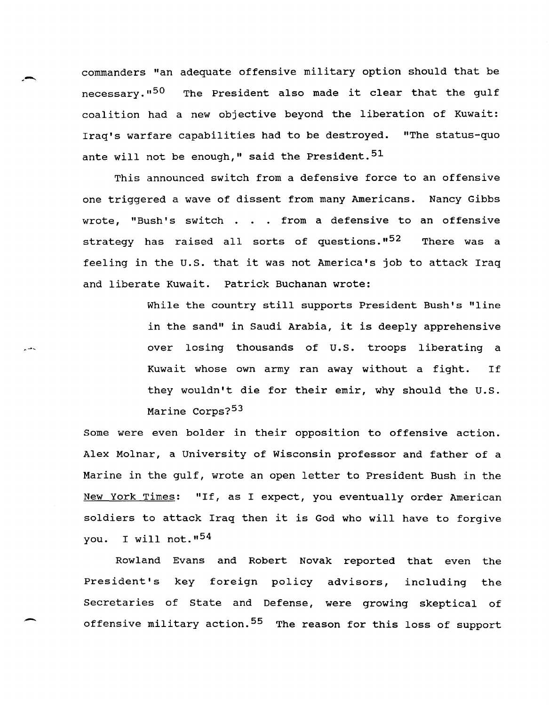commanders "an adequate offensive military option should that be necessary."<sup>50</sup> The President also made it clear that the qulf coalition had a new objective beyond the liberation of Kuwait: Iraq's warfare capabilities had to be destroyed. "The status-quo ante will not be enough," said the President.<sup>51</sup>

.-

",.-,

-

This announced switch from a defensive force to an offensive one triggered a wave of dissent from many Americans. Nancy Gibbs wrote, "Bush's switch  $\ldots$  from a defensive to an offensive strategy has raised all sorts of questions."<sup>52</sup> There was a feeling in the U.S. that it was not America's job to attack Iraq and liberate Kuwait. Patrick Buchanan wrote:

> While the country still supports President Bush's "line in the sand" in Saudi Arabia, it is deeply apprehensive over losing thousands of U.S. troops liberating a Kuwait whose own army ran away without a fight. If they wouldn't die for their emir, why should the U.S. Marine Corps?<sup>53</sup>

Some were even bolder in their opposition to offensive action. Alex Molnar, a University of Wisconsin professor and father of a Marine in the gulf, wrote an open letter to President Bush in the New York Times: "If, as I expect, you eventually order American soldiers to attack Iraq then it is God who will have to forgive you. I will not."<sup>54</sup>

Rowland Evans and Robert Novak reported that even the President's key foreign policy advisors, including the Secretaries of State and Defense, were growing skeptical of offensive military action.<sup>55</sup> The reason for this loss of support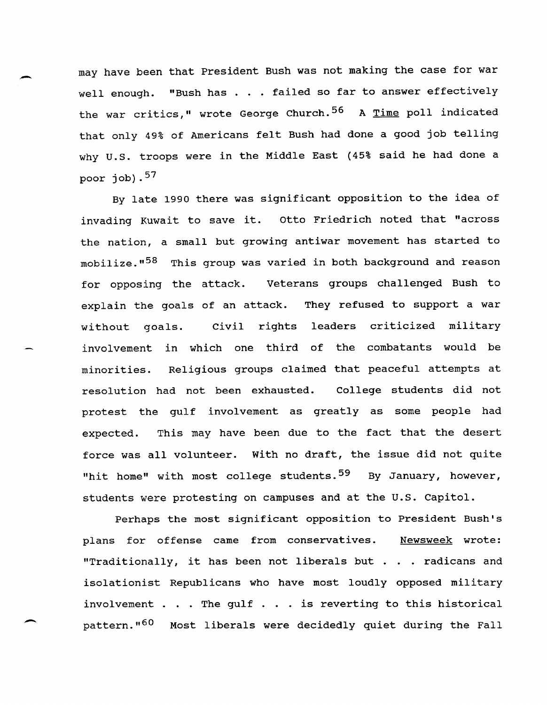may have been that President Bush was not making the case for war well enough. "Bush has . . . failed so far to answer effectively the war critics," wrote George Church.<sup>56</sup> A Time poll indicated that only 49% of Americans felt Bush had done a good job telling why u.s. troops were in the Middle East (45% said he had done a poor job). $57$ 

By late 1990 there was significant opposition to the idea of invading Kuwait to save it. otto Friedrich noted that "across the nation, a small but growing antiwar movement has started to mobilize."<sup>58</sup> This group was varied in both background and reason for opposing the attack. veterans groups challenged Bush to explain the goals of an attack. They refused to support a war without goals. involvement in which one third of the combatants would be Civil rights leaders criticized military minorities. Religious groups claimed that peaceful attempts at resolution had not been exhausted. College students did not protest the gulf involvement as greatly as some people had expected. This may have been due to the fact that the desert force was all volunteer. with no draft, the issue did not quite "hit home" with most college students.<sup>59</sup> By January, however, students were protesting on campuses and at the U.S. Capitol.

Perhaps the most significant opposition to President Bush's plans for offense came from conservatives. <u>Newsweek</u> wrote: "Traditionally, it has been not liberals but . . radicans and isolationist Republicans who have most loudly opposed military involvement . . . The gulf  $\ldots$  is reverting to this historical pattern.<sup>"60</sup> Most liberals were decidedly quiet during the Fall

-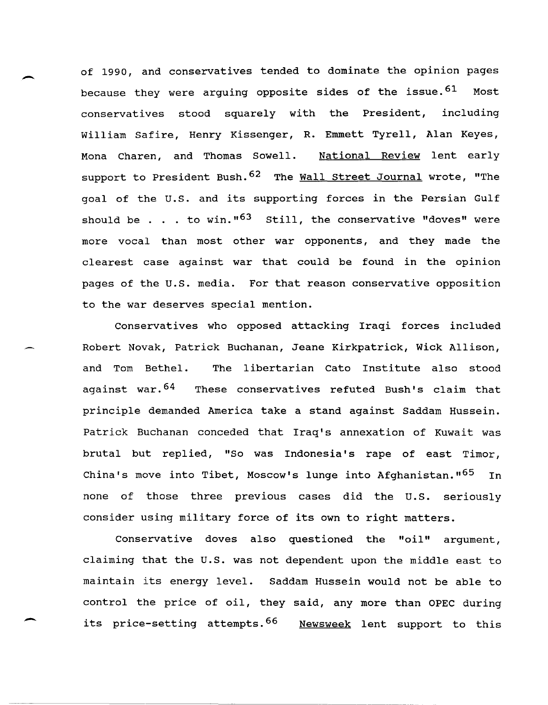of 1990, and conservatives tended to dominate the opinion pages because they were arguing opposite sides of the issue.<sup>61</sup> Most conservatives stood squarely with the President, including William Safire, Henry Kissenger, R. Emmett Tyrell, Alan Keyes, Mona Charen, and Thomas Sowell. National Review lent early support to President Bush. <sup>62</sup> The Wall Street Journal wrote, "The goal of the u.S. and its supporting forces in the Persian Gulf should be . . . to win.<sup>163</sup> still, the conservative "doves" were more vocal than most other war opponents, and they made the clearest case against war that could be found in the opinion pages of the u.s. media. For that reason conservative opposition to the war deserves special mention.

-

-

Conservatives who opposed attacking Iraqi forces included Robert Novak, Patrick Buchanan, Jeane Kirkpatrick, wick Allison, and Tom Bethel. The libertarian Cato Institute also stood against war.<sup>64</sup> These conservatives refuted Bush's claim that principle demanded America take a stand against Saddam Hussein. Patrick Buchanan conceded that Iraq's annexation of Kuwait was brutal but replied, "So was Indonesia's rape of east Timor, China's move into Tibet, Moscow's lunge into Afghanistan."<sup>65</sup> In none of those three previous cases did the U.S. seriously consider using military force of its own to right matters.

Conservative doves also questioned the "oil" argument, claiming that the U.S. was not dependent upon the middle east to maintain its energy level. Saddam Hussein would not be able to control the price of oil, they said, any more than OPEC during its price-setting attempts.<sup>66</sup> Newsweek lent support to this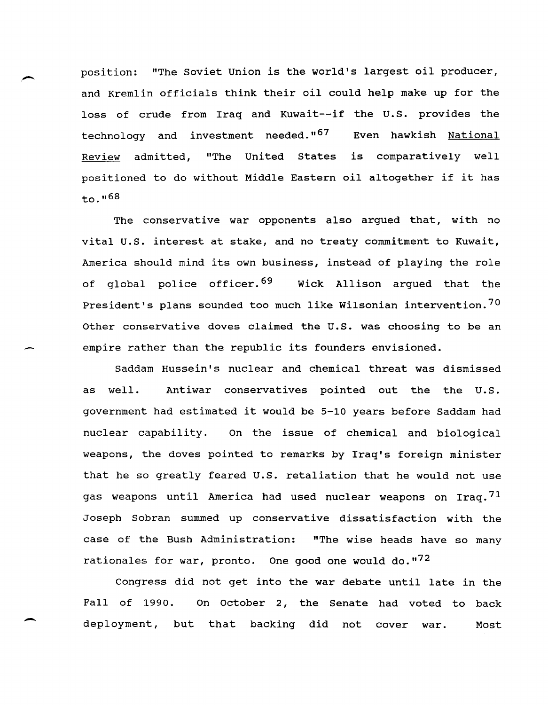position: "The soviet Union is the world's largest oil producer, and Kremlin officials think their oil could help make up for the loss of crude from Iraq and Kuwait--if the U.S. provides the technology and investment needed.<sup>"67</sup> Even hawkish National Review admitted, "The united states is comparatively well positioned to do without Middle Eastern oil altogether if it has  $to.$ ,,,68

The conservative war opponents also argued that, with no vital u.s. interest at stake, and no treaty commitment to Kuwait, America should mind its own business, instead of playing the role of global police officer.<sup>69</sup> Wick Allison arqued that the President's plans sounded too much like Wilsonian intervention.<sup>70</sup> other conservative doves claimed the u.s. was choosing to be an empire rather than the republic its founders envisioned.

-

 $\overline{\phantom{a}}$ 

Saddam Hussein's nuclear and chemical threat was dismissed as well. Antiwar conservatives pointed out the the U.S. government. had estimated it would be 5-10 years before Saddam had nuclear capability. On the issue of chemical and biological weapons, the doves pointed to remarks by Iraq's foreign minister that he so greatly feared U.S. retaliation that he would not use gas weapons until America had used nuclear weapons on Iraq.<sup>71</sup> Joseph Sobran summed up conservative dissatisfaction with the case of the Bush Administration: "The wise heads have so many rationales for war, pronto. One good one would do." $72$ 

Congress did not get into the war debate until late in the Fall of 1990. On October 2, the Senate had voted to back deployment, but that backing did not cover war. Most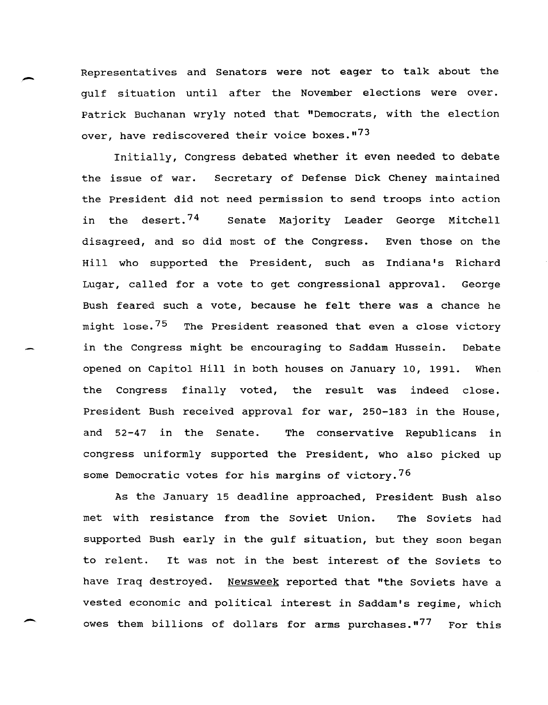Representatives and Senators were not eager to talk about the gulf situation until after the November elections were over. Patrick Buchanan wryly noted that "Democrats, with the election over, have rediscovered their voice boxes.<sup>"73</sup>

Initially, Congress debated whether it even needed to debate the issue of war. Secretary of Defense Dick Cheney maintained the President did not need permission to send troops into action in the desert.<sup>74</sup> Senate Majority Leader George Mitchell disagreed, and so did most of the Congress. Even those on the Hill who supported the President, such as Indiana's Richard Lugar, called for a vote to get congressional approval. George Bush feared such a vote, because he felt there was a chance he might lose.<sup>75</sup> The President reasoned that even a close victory in the Congress might be encouraging to Saddam Hussein. Debate opened on Capitol Hill in both houses on January 10, 1991. When the Congress finally voted, the result was indeed close. President Bush received approval for war, 250-183 in the House, and 52-47 in the Senate. The conservative Republicans in congress uniformly supported the President, who also picked up some Democratic votes for his margins of victory.<sup>76</sup>

As the January 15 deadline approached, President Bush also met with resistance from the Soviet Union. The Soviets had supported Bush early in the gulf situation, but they soon began to relent. It was not in the best interest of the Soviets to have Iraq destroyed. Newsweek reported that "the Soviets have a vested economic and political interest in Saddam's regime, which owes them billions of dollars for arms purchases."<sup>77</sup> For this

-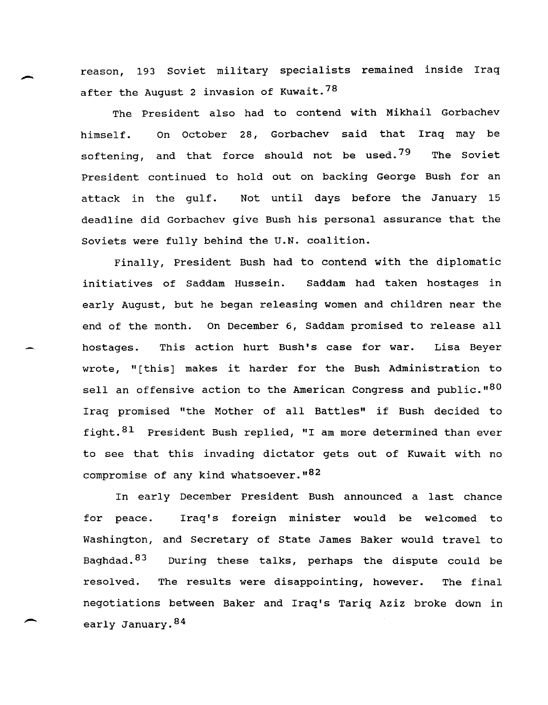reason, 193 soviet military specialists remained inside Iraq after the August 2 invasion of Kuwait.<sup>78</sup>

The President also had to contend with Mikhail Gorbachev himself. On October 28, Gorbachev said that Iraq may be softening, and that force should not be used.<sup>79</sup> The Soviet President continued to hold out on backing George Bush for an attack in the gulf. Not until days before the January 15 deadline did Gorbachev give Bush his personal assurance that the Soviets were fully behind the U.N. coalition.

Finally, President Bush had to contend with the diplomatic initiatives of Saddam Hussein. Saddam had taken hostages in early August, but he began releasing women and children near the end of the month. On December 6, Saddam promised to release all hostages. This action hurt Bush's case for war. Lisa Beyer wrote, "[this] makes it harder for the Bush Administration to sell an offensive action to the American Congress and public." $80$ Iraq promised "the Mother of all Battles" if Bush decided to fight. <sup>81</sup> President Bush replied, "I am more determined than ever to see that this invading dictator gets out of Kuwait with no compromise of any kind whatsoever.  $182$ 

In early December President Bush announced a last chance for peace. Iraq's foreign minister would be welcomed to Washington, and Secretary of State James Baker would travel to Baghdad. <sup>83</sup> During these talks, perhaps the dispute could be resolved. The results were disappointing, however. The final negotiations between Baker and Iraq's Tariq Aziz broke down in early January. 84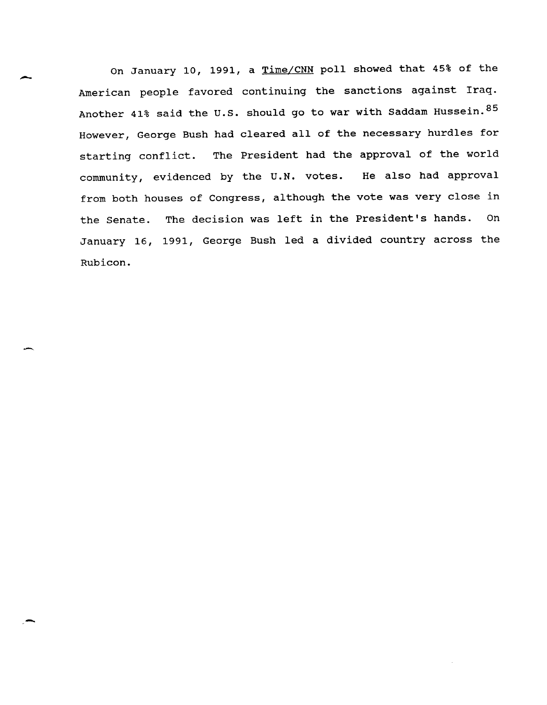On January 10, 1991, a Time/CNN poll showed that 45% of the American people favored continuing the sanctions against Iraq. Another 41% said the U.S. should go to war with Saddam Hussein.  $85$ However, George Bush had cleared all of the necessary hurdles for starting conflict. The President had the approval of the world community, evidenced by the U.N. votes. He also had approval from both houses of Congress, although the vote was very close in the Senate. The decision was left in the President's hands. On January 16, 1991, George Bush led a divided country across the Rubicon.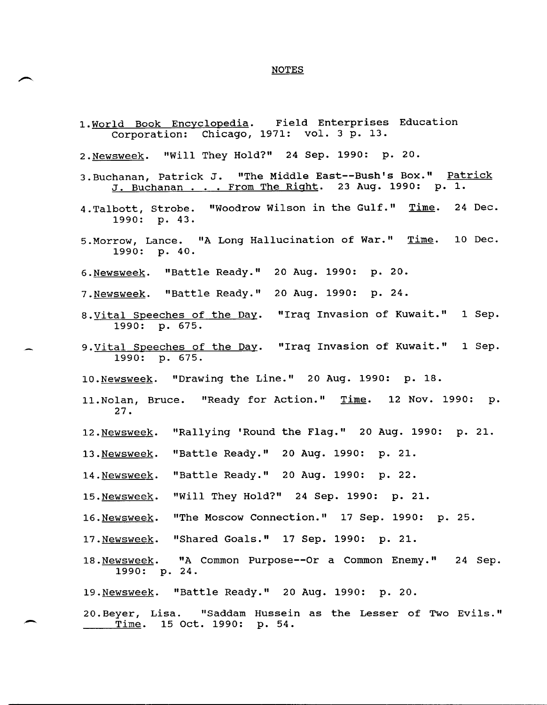### NOTES

- 1. World Book Encyclopedia. Field Enterprises Education Corporation: Chicago, 1971: vol. 3 p. 13.
- 2.Newsweek. "will They Hold?" 24 Sep. 1990: p. 20.
- 3.Buchanan, Patrick J. "The Middle East--Bush's Box." <u>Patrick</u> nanan, racrion of the measure during part. 1990: p. 1.
- 4. Talbott, Strobe. "Woodrow Wilson in the Gulf." Time. 24 Dec. 1990: p. 43.
- 5. Morrow, Lance. "A Long Hallucination of War." Time. 10 Dec. 1990: p.40.
- 6.Newsweek. "Battle Ready." 20 Aug. 1990: p. 20.
- 7.Newsweek. "Battle Ready." 20 Aug. 1990: p. 24.
- 8.vital Speeches of the Day. 1990: p. 675. "Iraq Invasion of Kuwait." 1 Sep.
- 9. <u>Vital Speeches of the Day</u>. "Iraq Invasion of Kuwait." 1 Sep. 1990: p. 675.
- 10.Newsweek. "Drawing the Line." 20 Aug. 1990: p. 18.
- 11.Nolan, Bruce. "Ready for Action." <u>Time</u>. 12 Nov. 1990: p. 27.
- 12.Newsweek. "Rallying 'Round the Flag." 20 Aug. 1990: p. 21.
- 13.Newsweek. "Battle Ready." 20 Aug. 1990: p. 21.
- 14.Newsweek. "Battle Ready." 20 Aug. 1990: p. 22.
- 15.Newsweek. "Will They Hold?" 24 Sep. 1990: p. 21.
- 16.Newsweek. "The Moscow Connection." 17 Sep. 1990: p. 25.
- 17.Newsweek. "Shared Goals." 17 Sep. 1990: p. 21.
- 18. Newsweek. "A Common Purpose--Or a Common Enemy." 24 Sep. 18. <u>Newsweek</u>. "A<br>1990: p. 24.
- 19.Newsweek. "Battle Ready." 20 Aug. 1990: p. 20.
- 20.Beyer, Lisa. "Saddam Hussein as the Lesser of Two Evils." Time. 15 Oct. 1990: p. 54.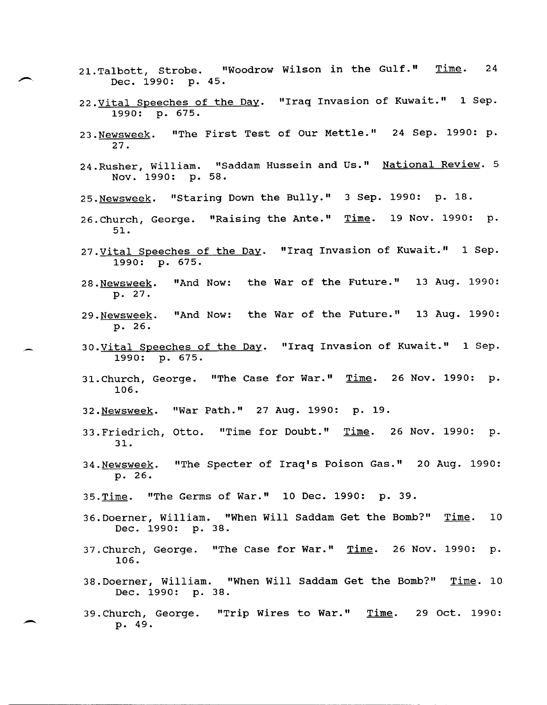- 21. Talbott, Strobe. "Woodrow Wilson in the Gulf." Dec. 1990: p. 45. Time. 24
- 22. Vital Speeches of the Day. "Iraq Invasion of Kuwait." 1 Sep. 1990: p. 675.
- 23.Newsweek. 27. "The First Test of Our Mettle." 24 Sep. 1990: p.
- 24. Rusher, William. "Saddam Hussein and Us." National Review. 5 Nov. 1990: p. 58.
- 25.Newsweek. "staring Down the Bully." 3 Sep. 1990: p. 18.
- 26. Church, George. "Raising the Ante." Time. 19 Nov. 1990: p. 51.
- 27. Vital Speeches of the Day. "Iraq Invasion of Kuwait." 1 Sep. 1990: p. 675.
- 28.Newsweek. p. 27. "And Now: the War of the Future." 13 Aug. 1990:
- 29.Newsweek. p. 26. "And Now: the War of the Future." 13 Aug. 1990:
- 30. Vital Speeches of the Day. "Iraq Invasion of Kuwait." 1 Sep. 1990: p. 675.
- 31. Church, George. "The Case for War." Time. 26 Nov. 1990: p. 106.
- 32.Newsweek. "War Path." 27 Aug. 1990: p. 19.
- 33.Friedrich, Otto. "Time for Doubt." <u>Time</u>. 26 Nov. 1990: p. 31.
- 34.Newsweek. p. 26. "The Specter of Iraq's Poison Gas." 20 Aug. 1990:
- 35.Time. "The Germs of War." 10 Dec. 1990: p. 39.

- 36.Doerner, William. "When Will Saddam Get the Bomb?" Time. 10 Dec. 1990: p. 38.
- 37.Church, George. "The Case for War." Time. 26 Nov. 1990: p. 106.
- 38. Doerner, William. "When will Saddam Get the Bomb?" Time. 10 Dec. 1990: p. 38.
- 39.Church, George. "Trip Wires to War." Time. 29 Oct. 1990: p. 49.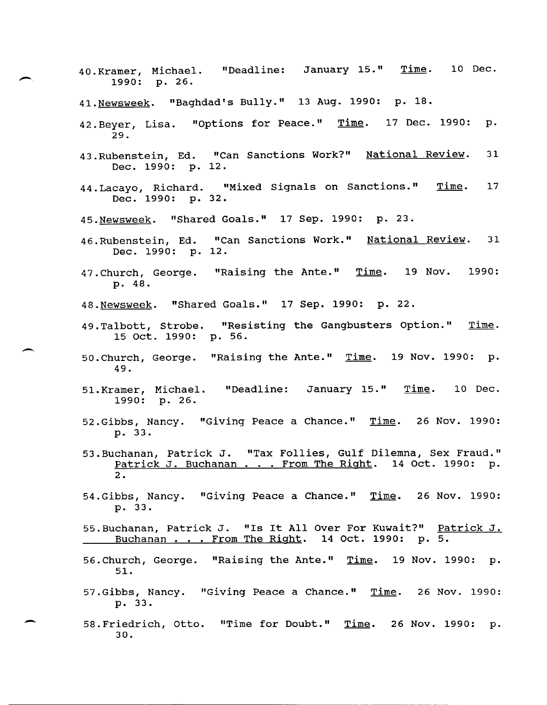- 40.Kramer, Michael. "Deadline: January 15." <u>Time</u>. 10 Dec. 1990: p. 26.
- 41. Newsweek. "Baghdad's Bully." 13 Aug. 1990: p. 18.
- 42.Beyer, Lisa. "Options for Peace." <u>Time</u>. 17 Dec. 1990: p. 29.
- 43.Rubenstein, Ed. "Can Sanctions Work?" <u>National Review</u>. Dec. 1990: p. 12. 31
- 44. Lacayo, Richard. "Mixed Signals on Sanctions." Time. Dec. 1990: p. 32. 17
- 45.Newsweek. "Shared Goals." 17 Sep. 1990: p. 23.
- 46.Rubenstein, Ed. "Can Sanctions Work." National Review. 31 Dec. 1990: p. 12.
- 47.Church, George. "Raising the Ante." Time. 19 Nov. p. 48. 1990:
- 48.Newsweek. "Shared Goals." 17 Sep. 1990: p. 22.

-.

- 49. Talbott, Strobe. "Resisting the Gangbusters Option." Time. 15 Oct. 1990: p. 56.
- 50. Church, George. "Raising the Ante." Time. 19 Nov. 1990: p. 49.
- 51. Kramer, Michael. 1990: p. 26. "Deadline: January 15." Time. 10 Dec.
- 52.Gibbs, Nancy. "Giving Peace a Chance." <u>Time</u>. 26 Nov. 1990: p. 33.
- 53.Buchanan, Patrick J. "Tax Follies, Gulf Dilemna, Sex Fraud."<br>Patrick J. Buchanan . . . From The Right. 14 Oct. 1990: p. Patrick J. Buchanan . . . From The Right. 14 Oct. 1990: p.<br>2.
- 54.Gibbs, Nancy. "Giving Peace a Chance." Time. 26 Nov. 1990: p. 33.
- 55.Buchanan, Patrick J. "Is It All Over For Kuwait?" Patrick J. Buchanan . . . From The Right. 14 Oct. 1990: p. 5.
- 56.Church, George. "Raising the Ante." Time. 19 Nov. 1990: p. 51.
- 57.Gibbs, Nancy. "Giving Peace a Chance." <u>Time</u>. 26 Nov. 1990: p. 33.
- 58.Friedrich, Otto. "Time for Doubt." <u>Time</u>. 26 Nov. 1990: p. 30.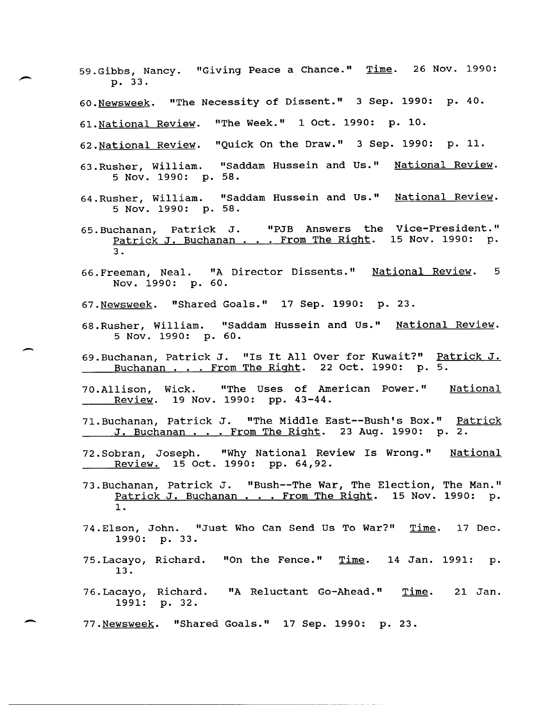- 59.Gibbs, Nancy. "Giving Peace a Chance." <u>Time</u>. 26 Nov. 1990: p. 33.
- 60. Newsweek. "The Necessity of Dissent." 3 Sep. 1990: p. 40.
- 61. National Review. "The Week." 1 Oct. 1990: p. 10.
- 62. National Review. "Quick On the Draw." 3 Sep. 1990: p. 11.
- 63.Rusher, William. "Saddam Hussein and Us." <u>National Review</u>. 5 Nov. 1990: p. 58.
- 64.Rusher, William. "Saddam Hussein and Us." <u>National Review</u>. 5 Nov. 1990: p. 58.
- 65.Buchanan, Patrick J. "PJB Answers the Vice-President."<br>Patrick J. Buchanan . . From The Right. 15 Nov. 1990: p. 3. 15 Nov. 1990: p.
- 66.Freeman, Neal. "A Director Dissents." <u>National Review</u>. 5 Nov. 1990: p. 60.
- 67. Newsweek. "Shared Goals." 17 Sep. 1990: p. 23.

-

- 68.Rusher, William. "Saddam Hussein and Us." National Review. 5 Nov. 1990: p. 60.
- 69.Buchanan, Patrick J. "Is It AllOver for Kuwait?1I Patrick J. Buchanan ... From The Right. 22 Oct. 1990: p. 5.
- 70.Allison, Wick. "The Uses of American Power." National **Review.** 19 Nov. 1990: pp. 43-44.
- 71. Buchanan, Patrick J. liThe Middle East--Bush's Box.1I Patrick J. Buchanan ... From The Right. 23 Aug. 1990: p. 2.
- 72. Sobran, Joseph. "Why National Review Is Wrong." National Review. 15 Oct. 1990: pp. 64,92.
- 73.Buchanan, Patrick J. "Bush--The War, The Election, The Man."<br>Patrick J. Buchanan . . . From The Right. 15 Nov. 1990: p. 1.
- 74.Elson, John. "Just Who Can Send Us To War?" <u>Time</u>. 17 Dec. 1990: p. 33.
- 75.Lacayo, Richard. 13. "On the Fence."  $Time$ . 14 Jan. 1991: p.</u>
- 76.Lacayo, Richard. "A Reluctant Go-Ahead." <u>Time</u>. 1991: p. 32. 21 Jan.
- 77. Newsweek. "Shared Goals." 17 Sep. 1990: p. 23.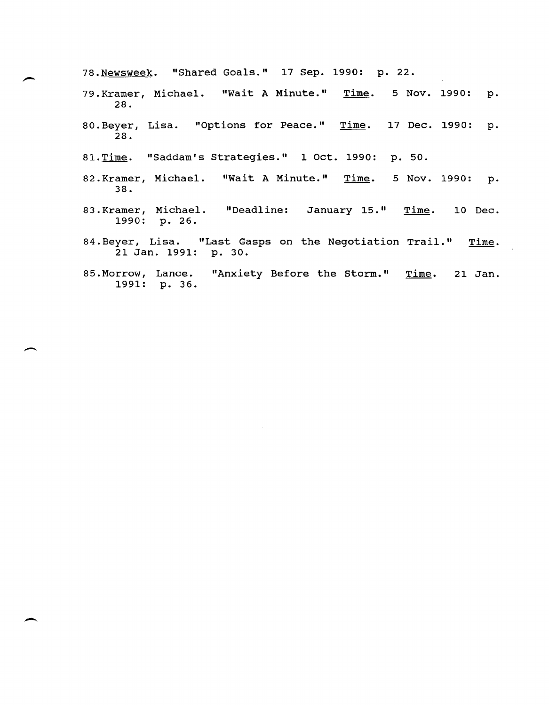78.Newsweek. "Shared Goals." 17 Sep. 1990: p. 22.

- 79.Kramer, Michael. 28. Time. 5 Nov. 1990: p.
- 80.Beyer, Lisa. "Options for Peace." <u>Time</u>. 17 Dec. 1990: p.  $\overline{2}8.$
- 81.Time. "Saddam's Strategies." 1 Oct. 1990: p. 50.

--

- 82.Kramer, Michael. <mark>"Wait A Minute."</mark> <u>Time</u>. 5 Nov. 1990: p. 38.
- 83.Kramer, Michael. 1990: p. 26. January 15." Time. 10 Dec.
- 84.Beyer, Lisa. "Last Gasps on the Negotiation Trail." 21 Jan. 1991: p. 30. Time.
- 85.Morrow, Lance. "Anxiety Before the Storm." Time. 1991: p. 36. 21 Jan.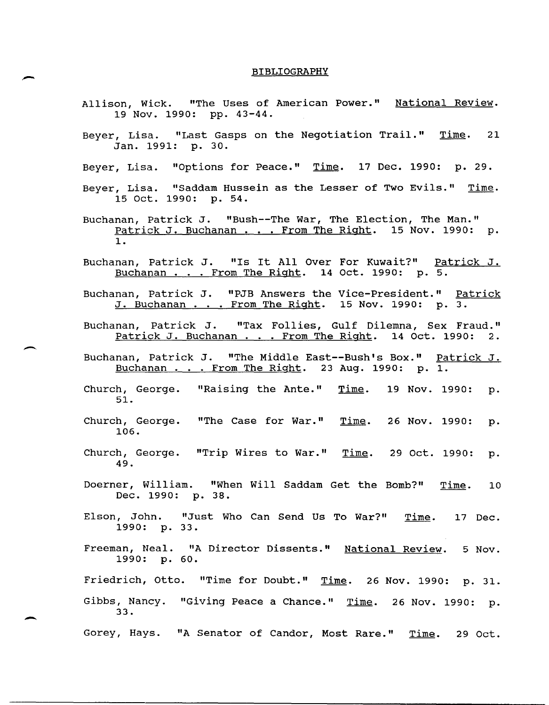#### BIBLIOGRAPHY

- Allison, Wick. "The Uses of American Power." <u>National Review</u>. 19 Nov. 1990: pp. 43-44.
- Beyer, Lisa. "Last Gasps on the Negotiation Trail." Time. 21 Jan. 1991: p. 30.
- Beyer, Lisa. "Options for Peace." Time. 17 Dec. 1990: p. 29.
- Beyer, Lisa. "Saddam Hussein as the Lesser of Two Evils." Time. 15 Oct. 1990: p. 54.
- Buchanan, Patrick J. "Bush--The War, The Election, The Man." Patrick J. Buchanan . . . From The Right. 15 Nov. 1990: p. 1.
- Buchanan, Patrick J. "Is It All Over For Kuwait?" Patrick J. Buchanan . . . From The Right. 14 Oct. 1990: p. 5.
- Buchanan, Patrick J. "PJB Answers the Vice-President." Patrick J. Buchanan . . . From The Right. 15 Nov. 1990: p. 3.
- Buchanan, Patrick J. "Tax Follies, Gulf Dilemna, Sex Fraud."<br><u>Patrick J. Buchanan . . . From The Right</u>. 14 Oct. 1990: 2.

 $\overline{\phantom{a}}$ 

-

- Buchanan, Patrick J. "The Middle East--Bush's Box." <u>Patrick J.</u><br>Buchanan . . . From The Right. 23 Aug. 1990: p. 1. Buchanan . . . From The Right. 23 Aug. 1990: p. 1.
- Church, George. "Raising the Ante." Time. 51. 19 Nov. 1990: p.
- Church, George. "The Case for War." Time. 106. 26 Nov. 1990: p.
- Church, George. "Trip Wires to War." <u>Time</u>. 29 Oct. 1990: p.<br>(20 *A* 0 49.
- Doerner, William. "When Will Saddam Get the Bomb?" <u>Time</u>. 10 Dec. 1990: p. 38.
- Elson, John. "Just Who Can Send Us To War?" 1990: p. 33. Time. 17 Dec.
- Freeman, Neal. "A Director Dissents." <u>National Review</u>. 5 Nov. 1990: p. 60.

Friedrich, Otto. "Time for Doubt." Time. 26 Nov. 1990: p. 31.

Gibbs, Nancy. "Giving Peace a Chance." Time. 26 Nov. 1990: p. 33.

Gorey, Hays. "A Senator of Candor, Most Rare." Time. 29 Oct.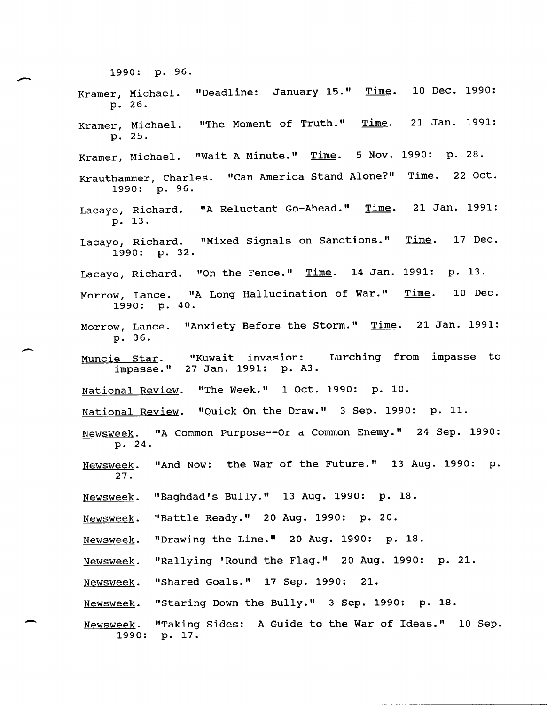1990: p. 96. Kramer, Michael. p. 26. "Deadline: January 15." Time. 10 Dec. 1990: Kramer, Michael. p. 25. "The Moment of Truth." Time. 21 Jan. 1991: Kramer, Michael. "Wait A Minute." Time. 5 Nov. 1990: p. 28. Krauthammer, Charles. "Can America Stand Alone?" Time. 22 Oct. 1990: p. 96. Lacayo, Richard. "A Reluctant Go-Ahead." <u>Time</u>. 21 Jan. 1991: p. 13. Lacayo, Richard. "Mixed Signals on Sanctions." Time. 1990: p. 32. 17 Dec. Lacayo, Richard. "On the Fence." Time. 14 Jan. 1991: p. 13. Morrow, Lance. "A Long Hallucination of War." 1990: p. 40. Time. 10 Dec. Morrow, Lance. "Anxiety Before the Storm." Time. 21 Jan. 1991: p. 36. Muncie star. impasse." 27 Jan. 1991: p. A3. "Kuwait invasion: Lurching from impasse to National Review. "The Week." 1 Oct. 1990: p. 10. National Review. "Quick On the Draw." 3 Sep. 1990: p. 11. Newsweek. "A Common Purpose--Or a Common Enemy." 24 Sep. 1990: p. 24. Newsweek. 27. "And Now: the War of the Future." 13 Aug. 1990: p. Newsweek. "Baghdad's Bully." 13 Aug. 1990: p. 18. Newsweek. "Battle Ready." 20 Aug. 1990: p. 20. Newsweek. "Drawing the Line." 20 Aug. 1990: p. 18. Newsweek. "Rallying 'Round the Flag." 20 Aug. 1990: p. 21. Newsweek. "Shared Goals." 17 Sep. 1990: 21. Newsweek. "Staring Down the Bully." 3 Sep. 1990: p. 18. Newsweek. 1990: p. 17. "Taking Sides: A Guide to the War of Ideas." 10 Sep.

 $\overline{\phantom{a}}$